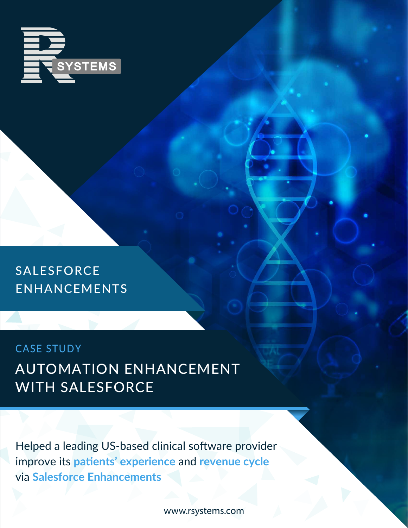

SALESFORCE ENHANCEMENTS

### CASE STUDY AUTOMATION ENHANCEMENT WITH SALESFORCE

Helped a leading US-based clinical software provider improve its **patients' experience** and **revenue cycle** via **Salesforce Enhancements**

www.rsystems.com